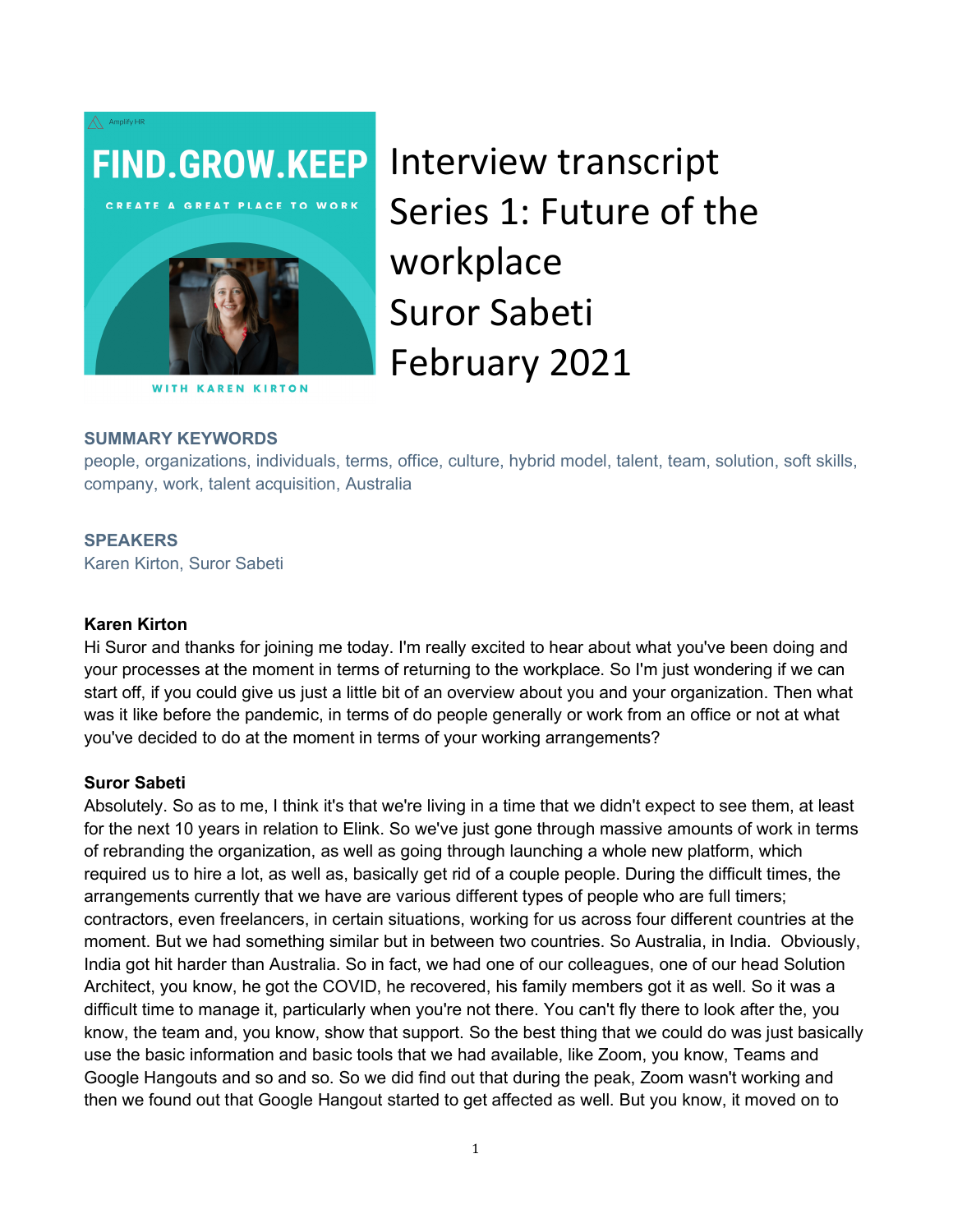

**WITH KAREN KIRTON** 

# Interview transcript Series 1: Future of the workplace Suror Sabeti February 2021

#### SUMMARY KEYWORDS

people, organizations, individuals, terms, office, culture, hybrid model, talent, team, solution, soft skills, company, work, talent acquisition, Australia

#### **SPEAKERS**

Karen Kirton, Suror Sabeti

#### Karen Kirton

Hi Suror and thanks for joining me today. I'm really excited to hear about what you've been doing and your processes at the moment in terms of returning to the workplace. So I'm just wondering if we can start off, if you could give us just a little bit of an overview about you and your organization. Then what was it like before the pandemic, in terms of do people generally or work from an office or not at what you've decided to do at the moment in terms of your working arrangements?

#### Suror Sabeti

Absolutely. So as to me, I think it's that we're living in a time that we didn't expect to see them, at least for the next 10 years in relation to Elink. So we've just gone through massive amounts of work in terms of rebranding the organization, as well as going through launching a whole new platform, which required us to hire a lot, as well as, basically get rid of a couple people. During the difficult times, the arrangements currently that we have are various different types of people who are full timers; contractors, even freelancers, in certain situations, working for us across four different countries at the moment. But we had something similar but in between two countries. So Australia, in India. Obviously, India got hit harder than Australia. So in fact, we had one of our colleagues, one of our head Solution Architect, you know, he got the COVID, he recovered, his family members got it as well. So it was a difficult time to manage it, particularly when you're not there. You can't fly there to look after the, you know, the team and, you know, show that support. So the best thing that we could do was just basically use the basic information and basic tools that we had available, like Zoom, you know, Teams and Google Hangouts and so and so. So we did find out that during the peak, Zoom wasn't working and then we found out that Google Hangout started to get affected as well. But you know, it moved on to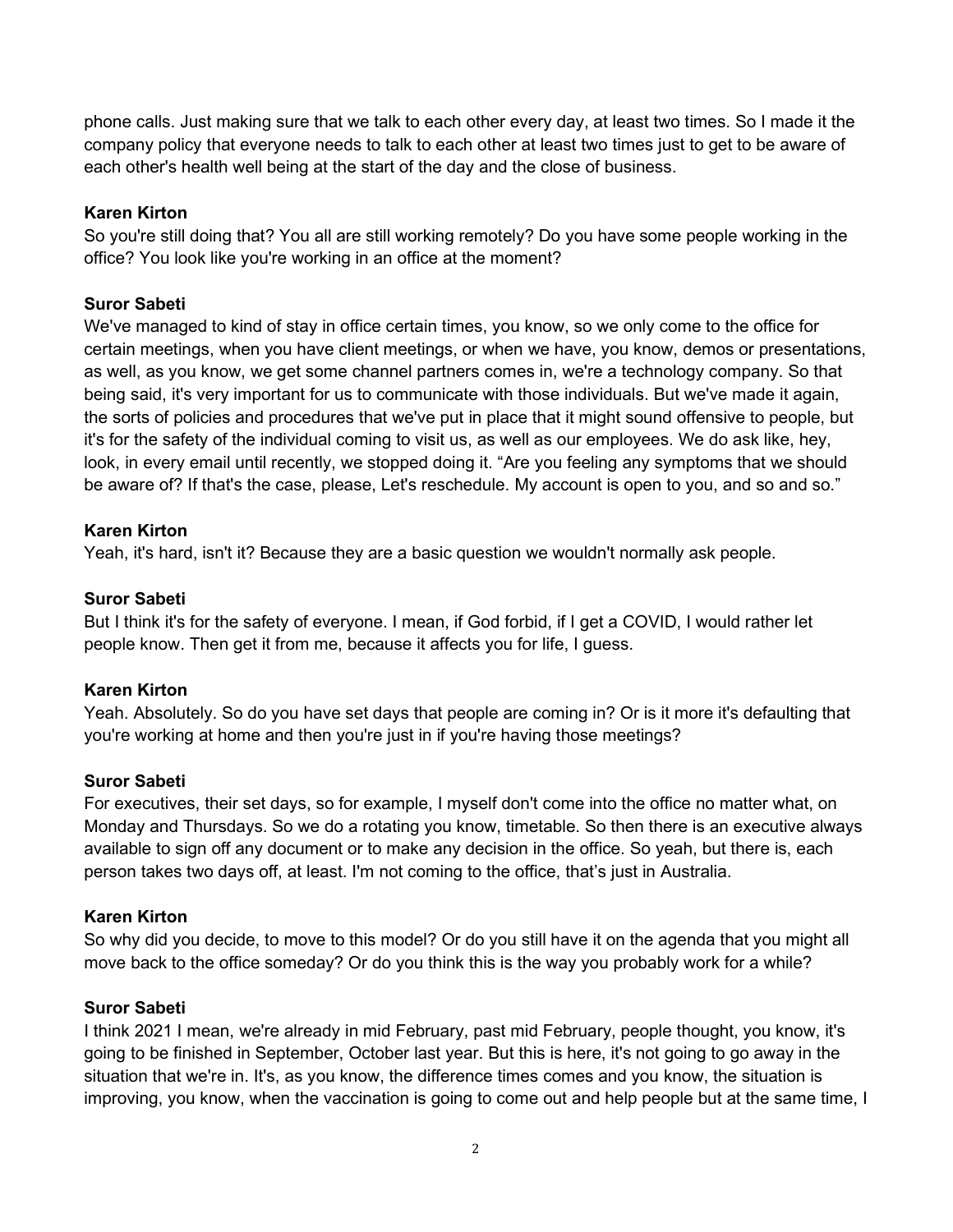phone calls. Just making sure that we talk to each other every day, at least two times. So I made it the company policy that everyone needs to talk to each other at least two times just to get to be aware of each other's health well being at the start of the day and the close of business.

## Karen Kirton

So you're still doing that? You all are still working remotely? Do you have some people working in the office? You look like you're working in an office at the moment?

# Suror Sabeti

We've managed to kind of stay in office certain times, you know, so we only come to the office for certain meetings, when you have client meetings, or when we have, you know, demos or presentations, as well, as you know, we get some channel partners comes in, we're a technology company. So that being said, it's very important for us to communicate with those individuals. But we've made it again, the sorts of policies and procedures that we've put in place that it might sound offensive to people, but it's for the safety of the individual coming to visit us, as well as our employees. We do ask like, hey, look, in every email until recently, we stopped doing it. "Are you feeling any symptoms that we should be aware of? If that's the case, please, Let's reschedule. My account is open to you, and so and so."

## Karen Kirton

Yeah, it's hard, isn't it? Because they are a basic question we wouldn't normally ask people.

## Suror Sabeti

But I think it's for the safety of everyone. I mean, if God forbid, if I get a COVID, I would rather let people know. Then get it from me, because it affects you for life, I guess.

# Karen Kirton

Yeah. Absolutely. So do you have set days that people are coming in? Or is it more it's defaulting that you're working at home and then you're just in if you're having those meetings?

## Suror Sabeti

For executives, their set days, so for example, I myself don't come into the office no matter what, on Monday and Thursdays. So we do a rotating you know, timetable. So then there is an executive always available to sign off any document or to make any decision in the office. So yeah, but there is, each person takes two days off, at least. I'm not coming to the office, that's just in Australia.

# Karen Kirton

So why did you decide, to move to this model? Or do you still have it on the agenda that you might all move back to the office someday? Or do you think this is the way you probably work for a while?

## Suror Sabeti

I think 2021 I mean, we're already in mid February, past mid February, people thought, you know, it's going to be finished in September, October last year. But this is here, it's not going to go away in the situation that we're in. It's, as you know, the difference times comes and you know, the situation is improving, you know, when the vaccination is going to come out and help people but at the same time, I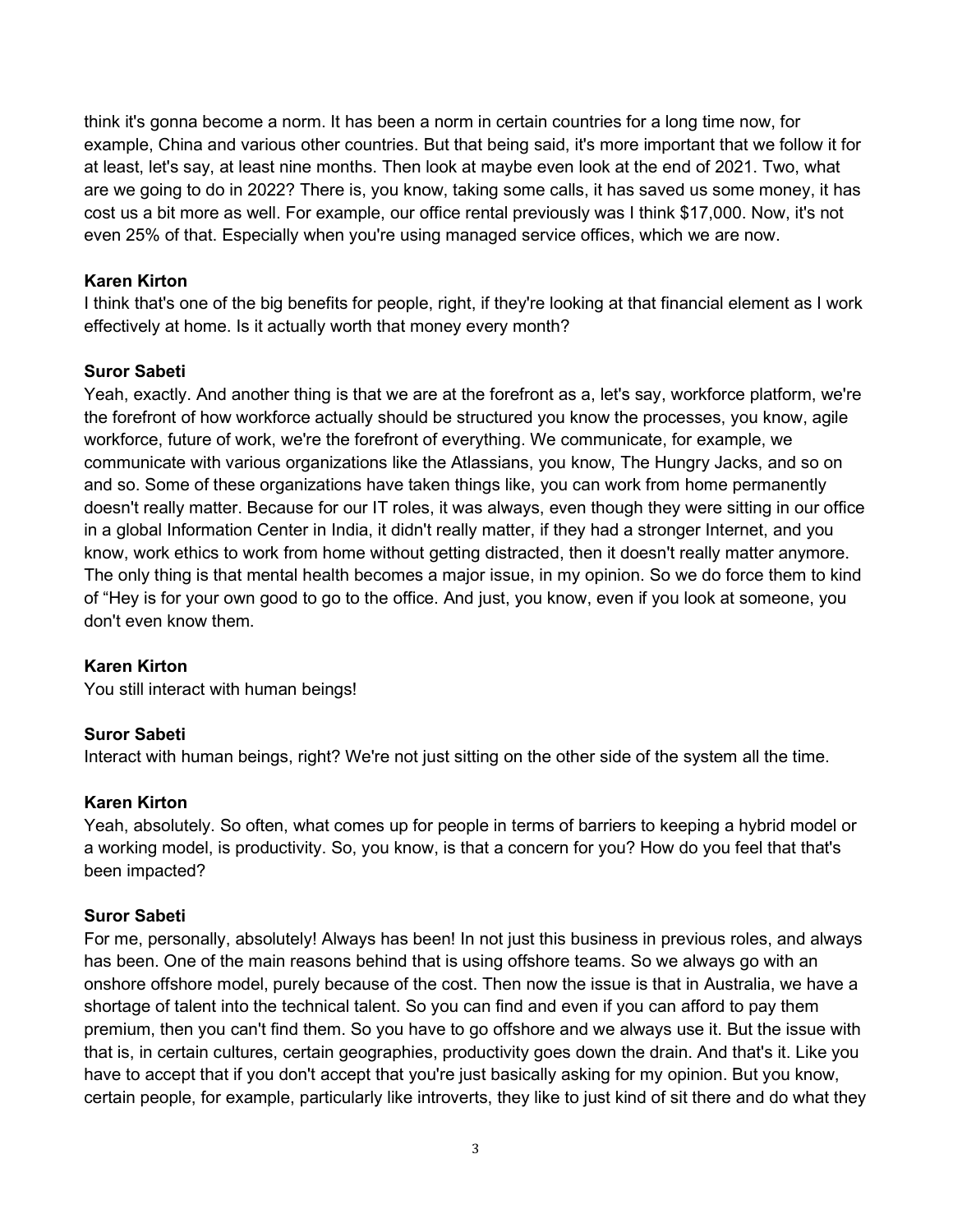think it's gonna become a norm. It has been a norm in certain countries for a long time now, for example, China and various other countries. But that being said, it's more important that we follow it for at least, let's say, at least nine months. Then look at maybe even look at the end of 2021. Two, what are we going to do in 2022? There is, you know, taking some calls, it has saved us some money, it has cost us a bit more as well. For example, our office rental previously was I think \$17,000. Now, it's not even 25% of that. Especially when you're using managed service offices, which we are now.

## Karen Kirton

I think that's one of the big benefits for people, right, if they're looking at that financial element as I work effectively at home. Is it actually worth that money every month?

## Suror Sabeti

Yeah, exactly. And another thing is that we are at the forefront as a, let's say, workforce platform, we're the forefront of how workforce actually should be structured you know the processes, you know, agile workforce, future of work, we're the forefront of everything. We communicate, for example, we communicate with various organizations like the Atlassians, you know, The Hungry Jacks, and so on and so. Some of these organizations have taken things like, you can work from home permanently doesn't really matter. Because for our IT roles, it was always, even though they were sitting in our office in a global Information Center in India, it didn't really matter, if they had a stronger Internet, and you know, work ethics to work from home without getting distracted, then it doesn't really matter anymore. The only thing is that mental health becomes a major issue, in my opinion. So we do force them to kind of "Hey is for your own good to go to the office. And just, you know, even if you look at someone, you don't even know them.

# Karen Kirton

You still interact with human beings!

# Suror Sabeti

Interact with human beings, right? We're not just sitting on the other side of the system all the time.

## Karen Kirton

Yeah, absolutely. So often, what comes up for people in terms of barriers to keeping a hybrid model or a working model, is productivity. So, you know, is that a concern for you? How do you feel that that's been impacted?

## Suror Sabeti

For me, personally, absolutely! Always has been! In not just this business in previous roles, and always has been. One of the main reasons behind that is using offshore teams. So we always go with an onshore offshore model, purely because of the cost. Then now the issue is that in Australia, we have a shortage of talent into the technical talent. So you can find and even if you can afford to pay them premium, then you can't find them. So you have to go offshore and we always use it. But the issue with that is, in certain cultures, certain geographies, productivity goes down the drain. And that's it. Like you have to accept that if you don't accept that you're just basically asking for my opinion. But you know, certain people, for example, particularly like introverts, they like to just kind of sit there and do what they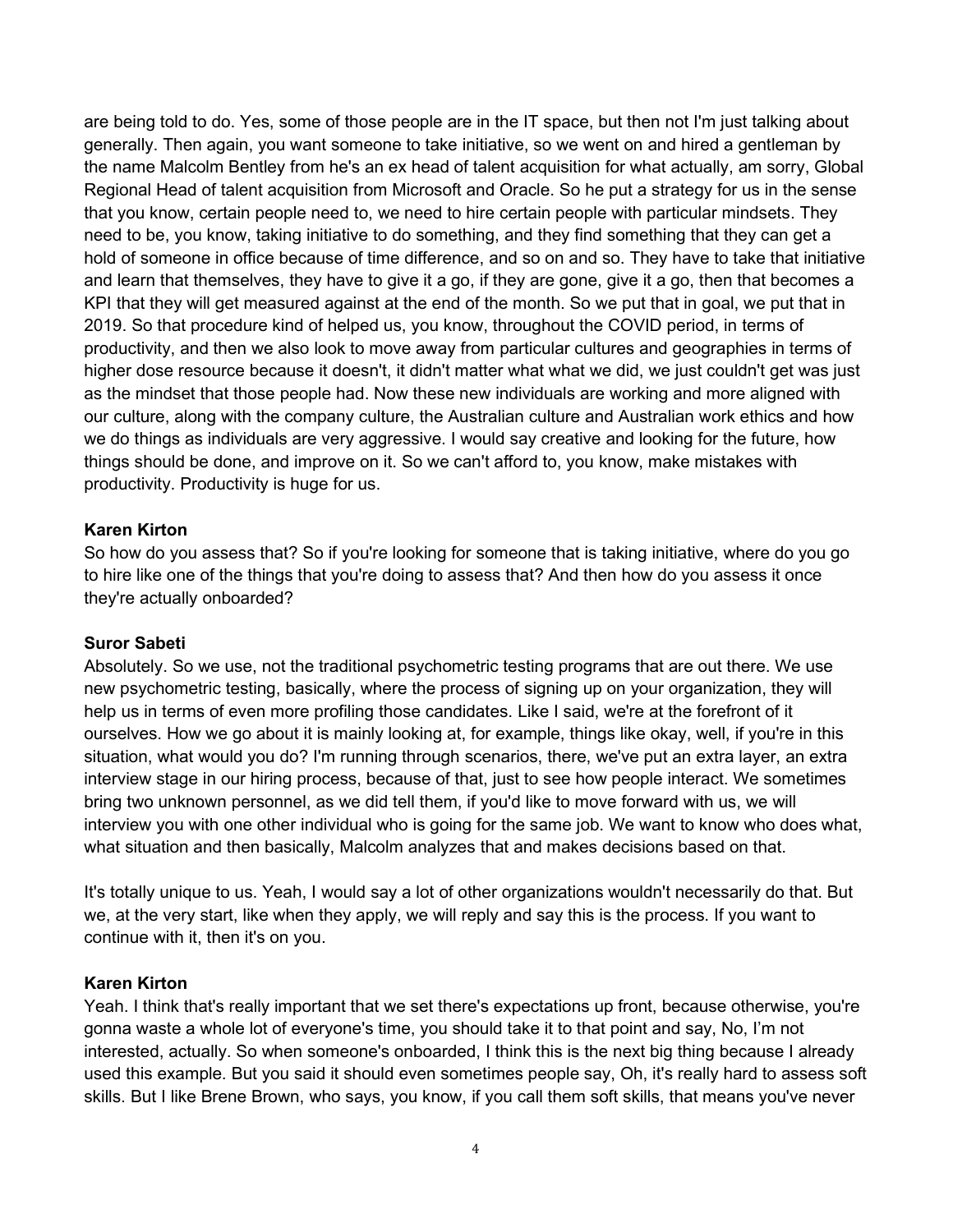are being told to do. Yes, some of those people are in the IT space, but then not I'm just talking about generally. Then again, you want someone to take initiative, so we went on and hired a gentleman by the name Malcolm Bentley from he's an ex head of talent acquisition for what actually, am sorry, Global Regional Head of talent acquisition from Microsoft and Oracle. So he put a strategy for us in the sense that you know, certain people need to, we need to hire certain people with particular mindsets. They need to be, you know, taking initiative to do something, and they find something that they can get a hold of someone in office because of time difference, and so on and so. They have to take that initiative and learn that themselves, they have to give it a go, if they are gone, give it a go, then that becomes a KPI that they will get measured against at the end of the month. So we put that in goal, we put that in 2019. So that procedure kind of helped us, you know, throughout the COVID period, in terms of productivity, and then we also look to move away from particular cultures and geographies in terms of higher dose resource because it doesn't, it didn't matter what what we did, we just couldn't get was just as the mindset that those people had. Now these new individuals are working and more aligned with our culture, along with the company culture, the Australian culture and Australian work ethics and how we do things as individuals are very aggressive. I would say creative and looking for the future, how things should be done, and improve on it. So we can't afford to, you know, make mistakes with productivity. Productivity is huge for us.

#### Karen Kirton

So how do you assess that? So if you're looking for someone that is taking initiative, where do you go to hire like one of the things that you're doing to assess that? And then how do you assess it once they're actually onboarded?

#### Suror Sabeti

Absolutely. So we use, not the traditional psychometric testing programs that are out there. We use new psychometric testing, basically, where the process of signing up on your organization, they will help us in terms of even more profiling those candidates. Like I said, we're at the forefront of it ourselves. How we go about it is mainly looking at, for example, things like okay, well, if you're in this situation, what would you do? I'm running through scenarios, there, we've put an extra layer, an extra interview stage in our hiring process, because of that, just to see how people interact. We sometimes bring two unknown personnel, as we did tell them, if you'd like to move forward with us, we will interview you with one other individual who is going for the same job. We want to know who does what, what situation and then basically, Malcolm analyzes that and makes decisions based on that.

It's totally unique to us. Yeah, I would say a lot of other organizations wouldn't necessarily do that. But we, at the very start, like when they apply, we will reply and say this is the process. If you want to continue with it, then it's on you.

#### Karen Kirton

Yeah. I think that's really important that we set there's expectations up front, because otherwise, you're gonna waste a whole lot of everyone's time, you should take it to that point and say, No, I'm not interested, actually. So when someone's onboarded, I think this is the next big thing because I already used this example. But you said it should even sometimes people say, Oh, it's really hard to assess soft skills. But I like Brene Brown, who says, you know, if you call them soft skills, that means you've never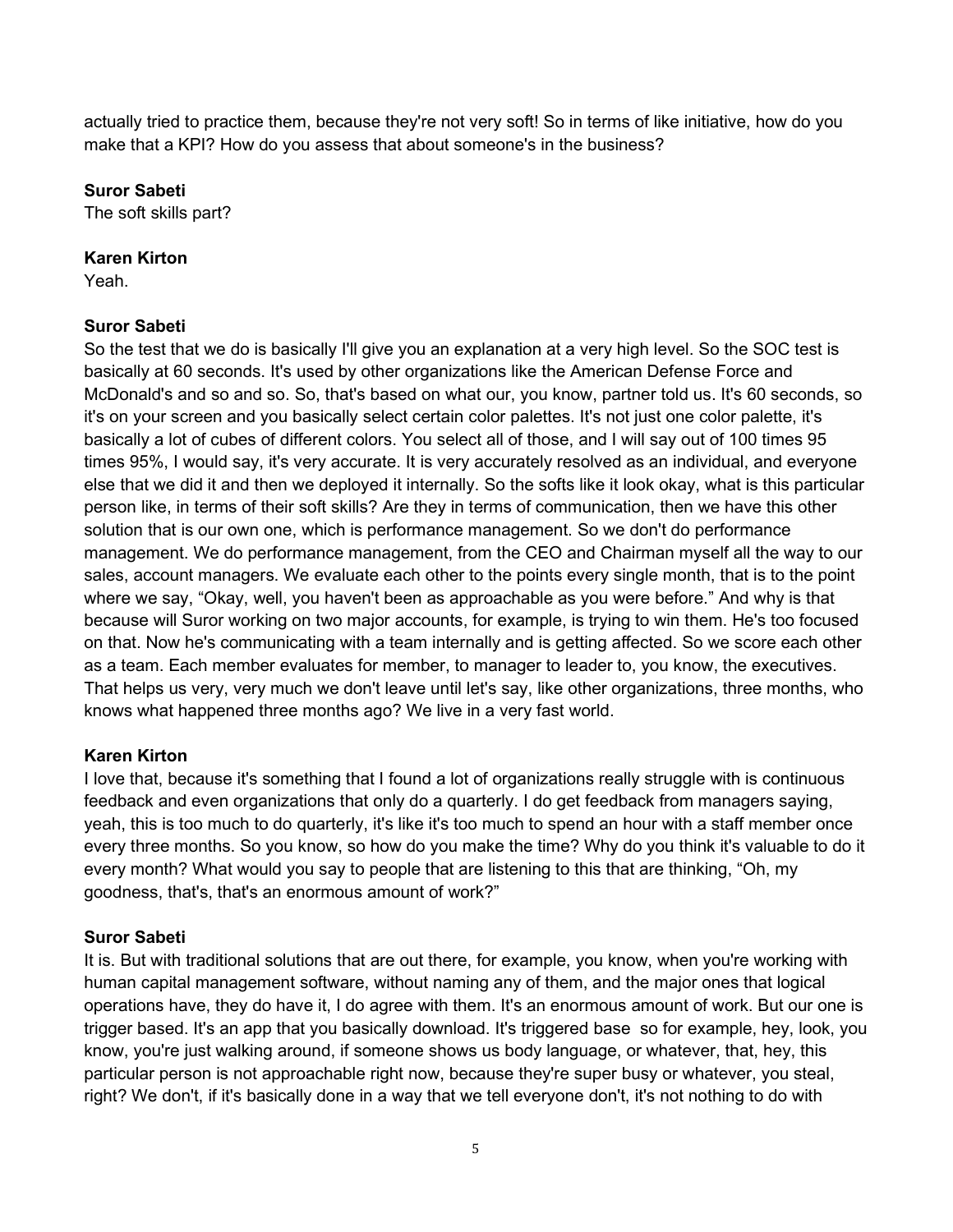actually tried to practice them, because they're not very soft! So in terms of like initiative, how do you make that a KPI? How do you assess that about someone's in the business?

# Suror Sabeti

The soft skills part?

## Karen Kirton

Yeah.

# Suror Sabeti

So the test that we do is basically I'll give you an explanation at a very high level. So the SOC test is basically at 60 seconds. It's used by other organizations like the American Defense Force and McDonald's and so and so. So, that's based on what our, you know, partner told us. It's 60 seconds, so it's on your screen and you basically select certain color palettes. It's not just one color palette, it's basically a lot of cubes of different colors. You select all of those, and I will say out of 100 times 95 times 95%, I would say, it's very accurate. It is very accurately resolved as an individual, and everyone else that we did it and then we deployed it internally. So the softs like it look okay, what is this particular person like, in terms of their soft skills? Are they in terms of communication, then we have this other solution that is our own one, which is performance management. So we don't do performance management. We do performance management, from the CEO and Chairman myself all the way to our sales, account managers. We evaluate each other to the points every single month, that is to the point where we say, "Okay, well, you haven't been as approachable as you were before." And why is that because will Suror working on two major accounts, for example, is trying to win them. He's too focused on that. Now he's communicating with a team internally and is getting affected. So we score each other as a team. Each member evaluates for member, to manager to leader to, you know, the executives. That helps us very, very much we don't leave until let's say, like other organizations, three months, who knows what happened three months ago? We live in a very fast world.

# Karen Kirton

I love that, because it's something that I found a lot of organizations really struggle with is continuous feedback and even organizations that only do a quarterly. I do get feedback from managers saying, yeah, this is too much to do quarterly, it's like it's too much to spend an hour with a staff member once every three months. So you know, so how do you make the time? Why do you think it's valuable to do it every month? What would you say to people that are listening to this that are thinking, "Oh, my goodness, that's, that's an enormous amount of work?"

# Suror Sabeti

It is. But with traditional solutions that are out there, for example, you know, when you're working with human capital management software, without naming any of them, and the major ones that logical operations have, they do have it, I do agree with them. It's an enormous amount of work. But our one is trigger based. It's an app that you basically download. It's triggered base so for example, hey, look, you know, you're just walking around, if someone shows us body language, or whatever, that, hey, this particular person is not approachable right now, because they're super busy or whatever, you steal, right? We don't, if it's basically done in a way that we tell everyone don't, it's not nothing to do with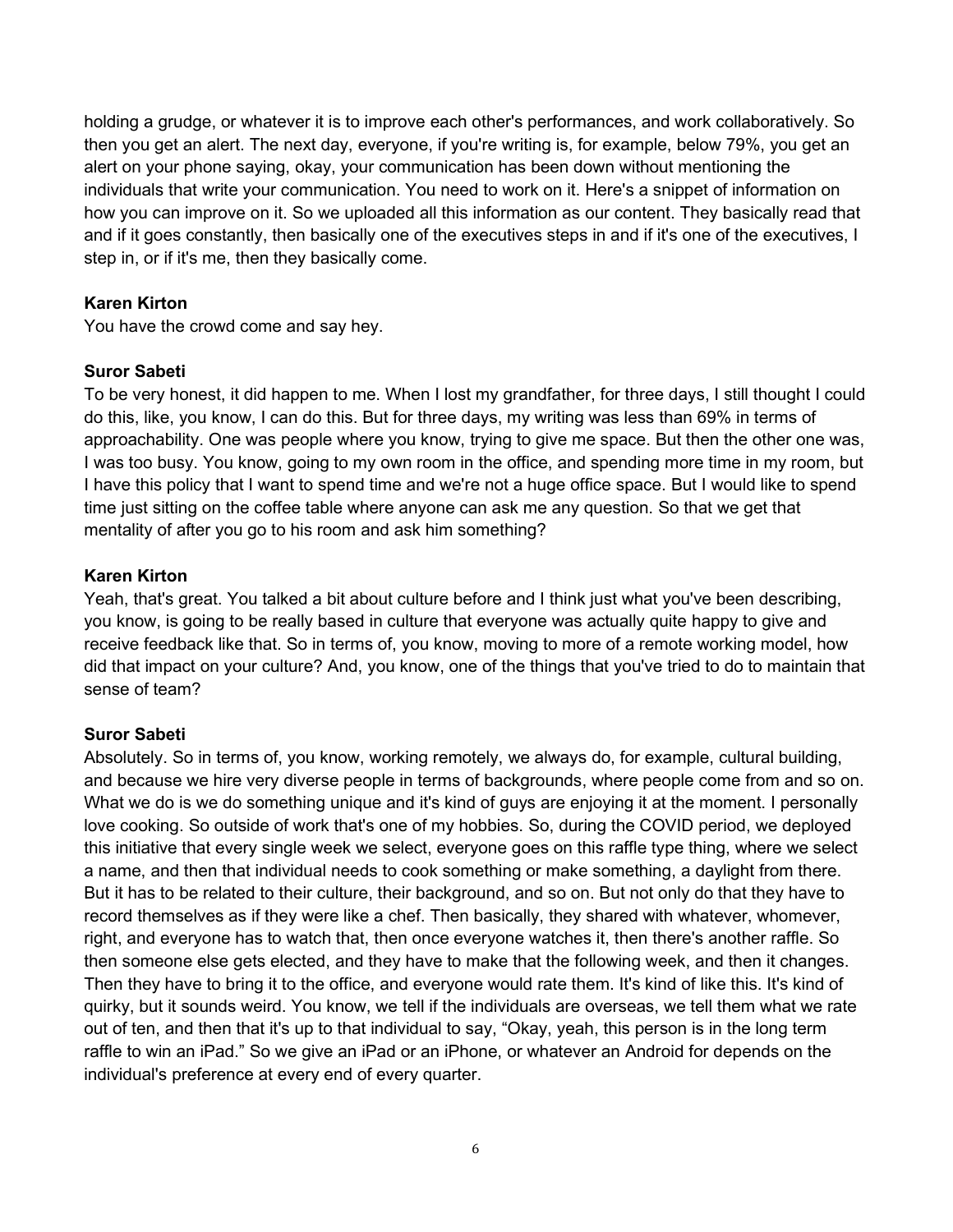holding a grudge, or whatever it is to improve each other's performances, and work collaboratively. So then you get an alert. The next day, everyone, if you're writing is, for example, below 79%, you get an alert on your phone saying, okay, your communication has been down without mentioning the individuals that write your communication. You need to work on it. Here's a snippet of information on how you can improve on it. So we uploaded all this information as our content. They basically read that and if it goes constantly, then basically one of the executives steps in and if it's one of the executives, I step in, or if it's me, then they basically come.

## Karen Kirton

You have the crowd come and say hey.

## Suror Sabeti

To be very honest, it did happen to me. When I lost my grandfather, for three days, I still thought I could do this, like, you know, I can do this. But for three days, my writing was less than 69% in terms of approachability. One was people where you know, trying to give me space. But then the other one was, I was too busy. You know, going to my own room in the office, and spending more time in my room, but I have this policy that I want to spend time and we're not a huge office space. But I would like to spend time just sitting on the coffee table where anyone can ask me any question. So that we get that mentality of after you go to his room and ask him something?

## Karen Kirton

Yeah, that's great. You talked a bit about culture before and I think just what you've been describing, you know, is going to be really based in culture that everyone was actually quite happy to give and receive feedback like that. So in terms of, you know, moving to more of a remote working model, how did that impact on your culture? And, you know, one of the things that you've tried to do to maintain that sense of team?

## Suror Sabeti

Absolutely. So in terms of, you know, working remotely, we always do, for example, cultural building, and because we hire very diverse people in terms of backgrounds, where people come from and so on. What we do is we do something unique and it's kind of guys are enjoying it at the moment. I personally love cooking. So outside of work that's one of my hobbies. So, during the COVID period, we deployed this initiative that every single week we select, everyone goes on this raffle type thing, where we select a name, and then that individual needs to cook something or make something, a daylight from there. But it has to be related to their culture, their background, and so on. But not only do that they have to record themselves as if they were like a chef. Then basically, they shared with whatever, whomever, right, and everyone has to watch that, then once everyone watches it, then there's another raffle. So then someone else gets elected, and they have to make that the following week, and then it changes. Then they have to bring it to the office, and everyone would rate them. It's kind of like this. It's kind of quirky, but it sounds weird. You know, we tell if the individuals are overseas, we tell them what we rate out of ten, and then that it's up to that individual to say, "Okay, yeah, this person is in the long term raffle to win an iPad." So we give an iPad or an iPhone, or whatever an Android for depends on the individual's preference at every end of every quarter.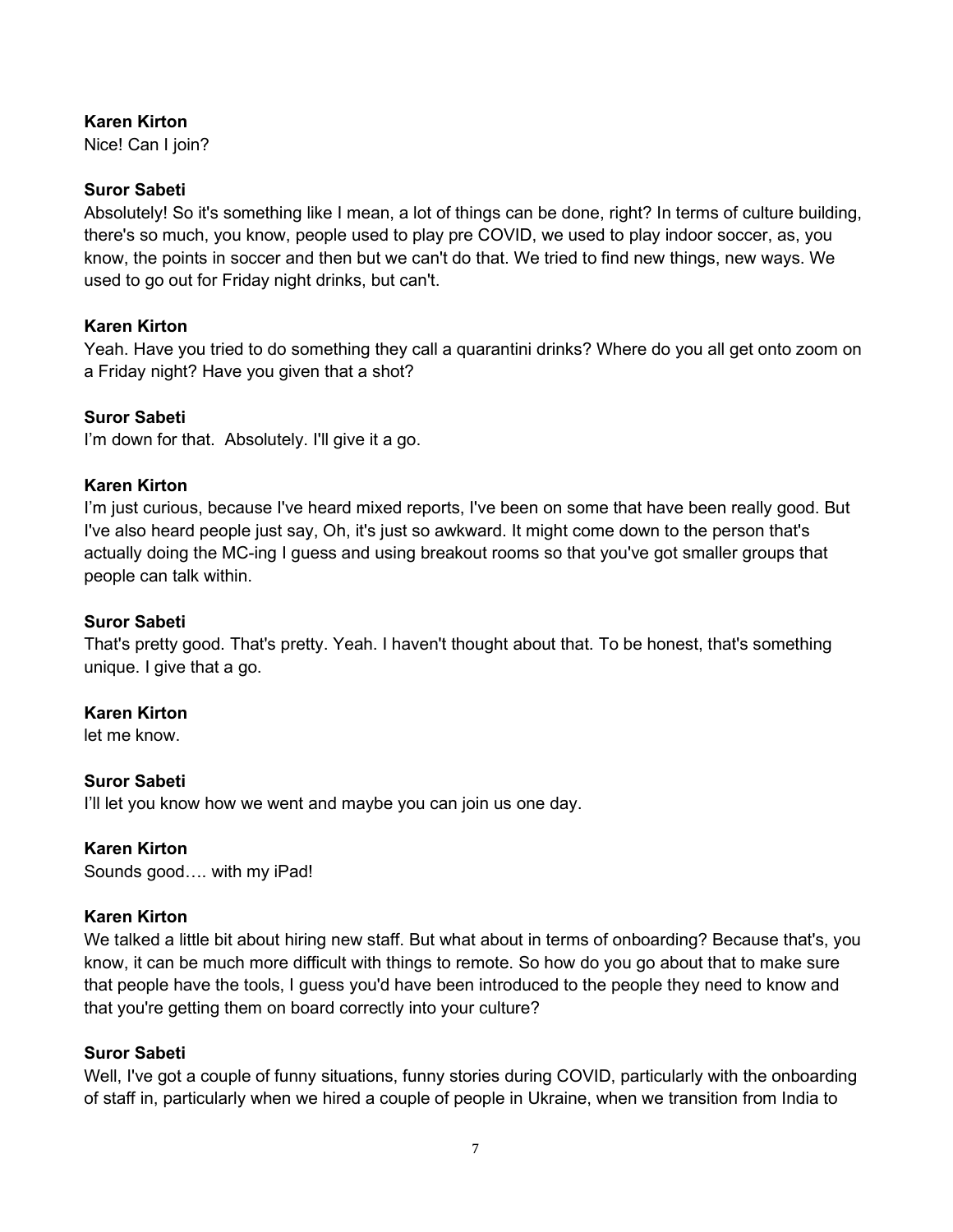# Karen Kirton

Nice! Can I join?

# Suror Sabeti

Absolutely! So it's something like I mean, a lot of things can be done, right? In terms of culture building, there's so much, you know, people used to play pre COVID, we used to play indoor soccer, as, you know, the points in soccer and then but we can't do that. We tried to find new things, new ways. We used to go out for Friday night drinks, but can't.

## Karen Kirton

Yeah. Have you tried to do something they call a quarantini drinks? Where do you all get onto zoom on a Friday night? Have you given that a shot?

## Suror Sabeti

I'm down for that. Absolutely. I'll give it a go.

# Karen Kirton

I'm just curious, because I've heard mixed reports, I've been on some that have been really good. But I've also heard people just say, Oh, it's just so awkward. It might come down to the person that's actually doing the MC-ing I guess and using breakout rooms so that you've got smaller groups that people can talk within.

## Suror Sabeti

That's pretty good. That's pretty. Yeah. I haven't thought about that. To be honest, that's something unique. I give that a go.

# Karen Kirton

let me know.

## Suror Sabeti

I'll let you know how we went and maybe you can join us one day.

## Karen Kirton

Sounds good…. with my iPad!

## Karen Kirton

We talked a little bit about hiring new staff. But what about in terms of onboarding? Because that's, you know, it can be much more difficult with things to remote. So how do you go about that to make sure that people have the tools, I guess you'd have been introduced to the people they need to know and that you're getting them on board correctly into your culture?

## Suror Sabeti

Well, I've got a couple of funny situations, funny stories during COVID, particularly with the onboarding of staff in, particularly when we hired a couple of people in Ukraine, when we transition from India to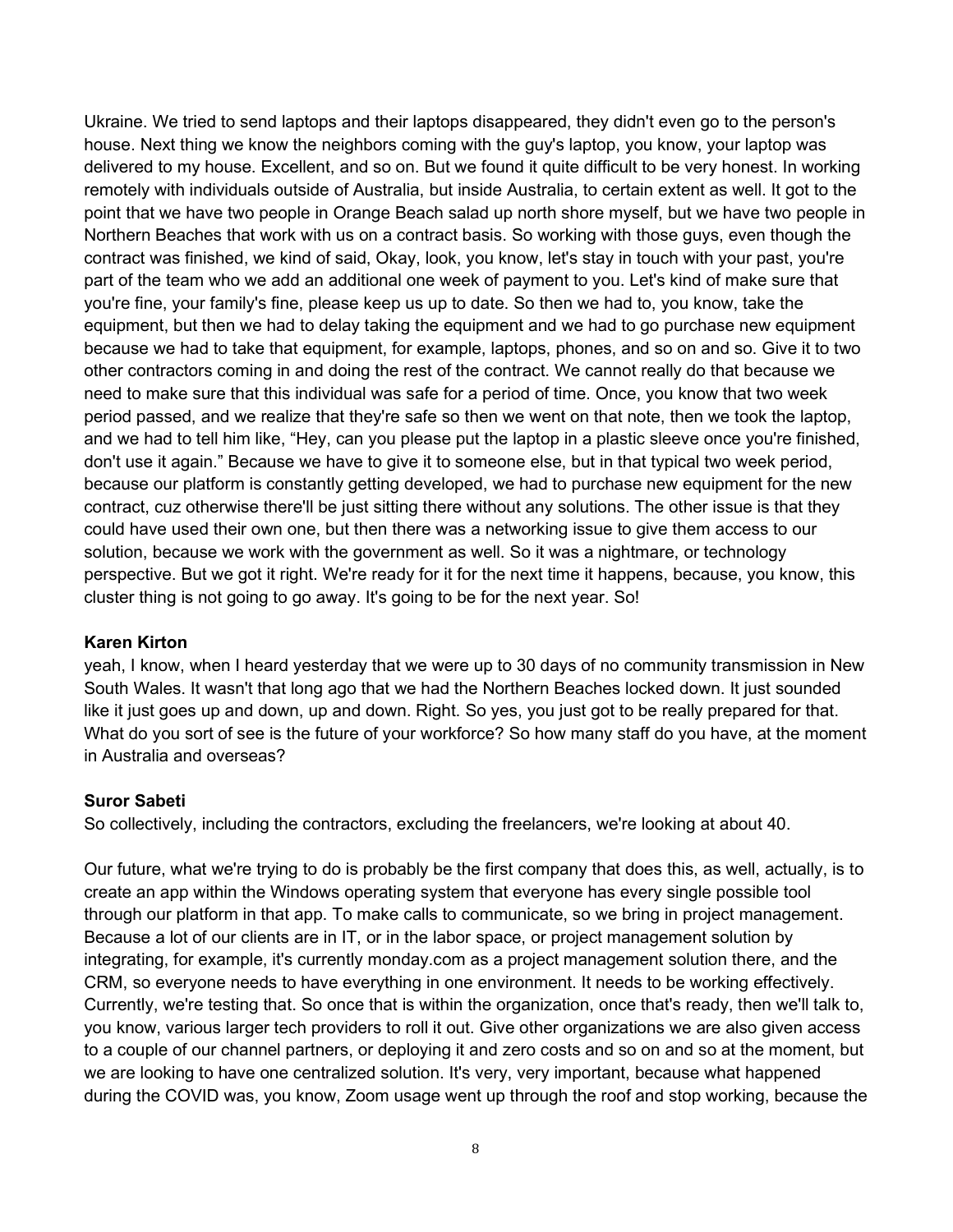Ukraine. We tried to send laptops and their laptops disappeared, they didn't even go to the person's house. Next thing we know the neighbors coming with the guy's laptop, you know, your laptop was delivered to my house. Excellent, and so on. But we found it quite difficult to be very honest. In working remotely with individuals outside of Australia, but inside Australia, to certain extent as well. It got to the point that we have two people in Orange Beach salad up north shore myself, but we have two people in Northern Beaches that work with us on a contract basis. So working with those guys, even though the contract was finished, we kind of said, Okay, look, you know, let's stay in touch with your past, you're part of the team who we add an additional one week of payment to you. Let's kind of make sure that you're fine, your family's fine, please keep us up to date. So then we had to, you know, take the equipment, but then we had to delay taking the equipment and we had to go purchase new equipment because we had to take that equipment, for example, laptops, phones, and so on and so. Give it to two other contractors coming in and doing the rest of the contract. We cannot really do that because we need to make sure that this individual was safe for a period of time. Once, you know that two week period passed, and we realize that they're safe so then we went on that note, then we took the laptop, and we had to tell him like, "Hey, can you please put the laptop in a plastic sleeve once you're finished, don't use it again." Because we have to give it to someone else, but in that typical two week period, because our platform is constantly getting developed, we had to purchase new equipment for the new contract, cuz otherwise there'll be just sitting there without any solutions. The other issue is that they could have used their own one, but then there was a networking issue to give them access to our solution, because we work with the government as well. So it was a nightmare, or technology perspective. But we got it right. We're ready for it for the next time it happens, because, you know, this cluster thing is not going to go away. It's going to be for the next year. So!

## Karen Kirton

yeah, I know, when I heard yesterday that we were up to 30 days of no community transmission in New South Wales. It wasn't that long ago that we had the Northern Beaches locked down. It just sounded like it just goes up and down, up and down. Right. So yes, you just got to be really prepared for that. What do you sort of see is the future of your workforce? So how many staff do you have, at the moment in Australia and overseas?

#### Suror Sabeti

So collectively, including the contractors, excluding the freelancers, we're looking at about 40.

Our future, what we're trying to do is probably be the first company that does this, as well, actually, is to create an app within the Windows operating system that everyone has every single possible tool through our platform in that app. To make calls to communicate, so we bring in project management. Because a lot of our clients are in IT, or in the labor space, or project management solution by integrating, for example, it's currently monday.com as a project management solution there, and the CRM, so everyone needs to have everything in one environment. It needs to be working effectively. Currently, we're testing that. So once that is within the organization, once that's ready, then we'll talk to, you know, various larger tech providers to roll it out. Give other organizations we are also given access to a couple of our channel partners, or deploying it and zero costs and so on and so at the moment, but we are looking to have one centralized solution. It's very, very important, because what happened during the COVID was, you know, Zoom usage went up through the roof and stop working, because the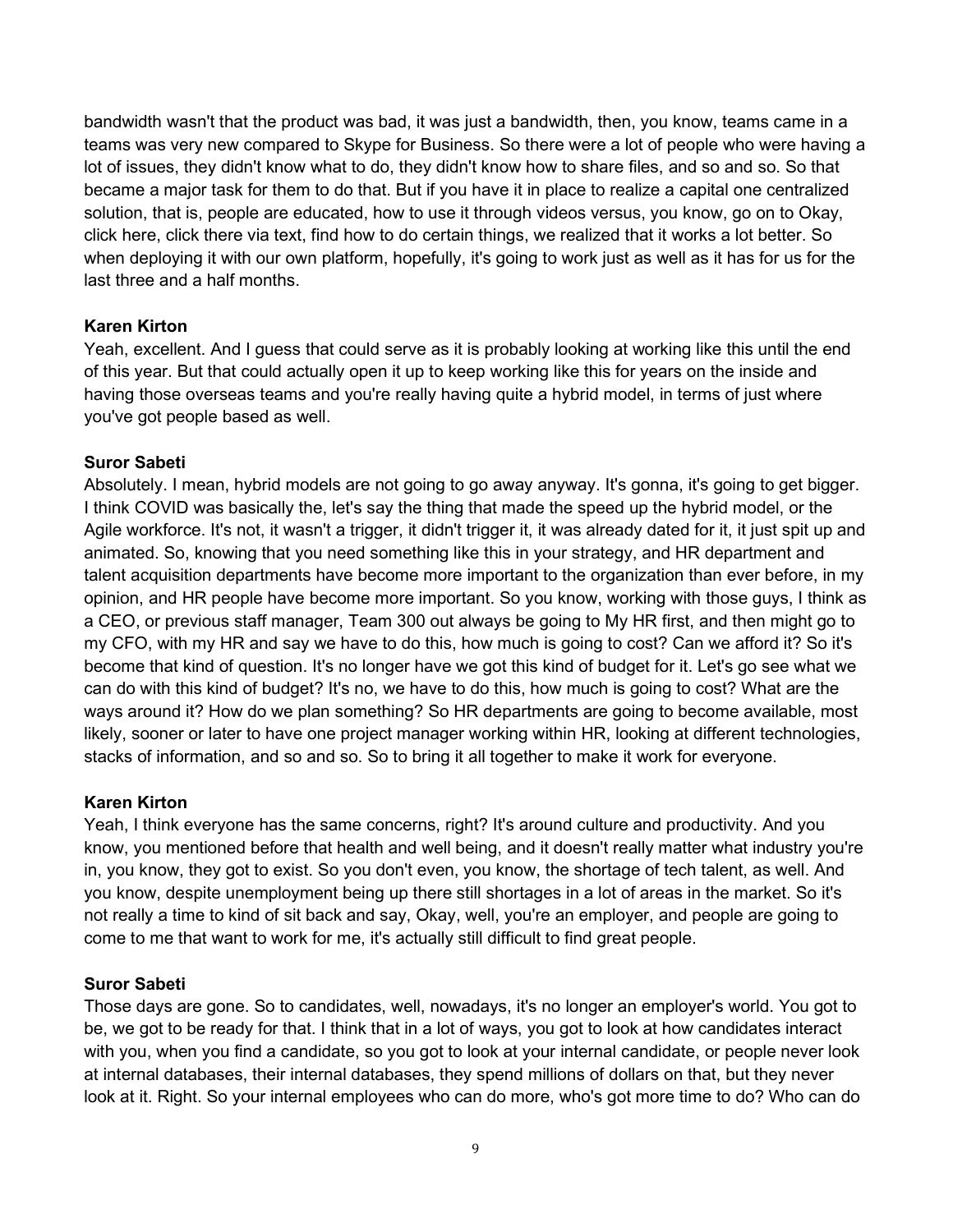bandwidth wasn't that the product was bad, it was just a bandwidth, then, you know, teams came in a teams was very new compared to Skype for Business. So there were a lot of people who were having a lot of issues, they didn't know what to do, they didn't know how to share files, and so and so. So that became a major task for them to do that. But if you have it in place to realize a capital one centralized solution, that is, people are educated, how to use it through videos versus, you know, go on to Okay, click here, click there via text, find how to do certain things, we realized that it works a lot better. So when deploying it with our own platform, hopefully, it's going to work just as well as it has for us for the last three and a half months.

## Karen Kirton

Yeah, excellent. And I guess that could serve as it is probably looking at working like this until the end of this year. But that could actually open it up to keep working like this for years on the inside and having those overseas teams and you're really having quite a hybrid model, in terms of just where you've got people based as well.

## Suror Sabeti

Absolutely. I mean, hybrid models are not going to go away anyway. It's gonna, it's going to get bigger. I think COVID was basically the, let's say the thing that made the speed up the hybrid model, or the Agile workforce. It's not, it wasn't a trigger, it didn't trigger it, it was already dated for it, it just spit up and animated. So, knowing that you need something like this in your strategy, and HR department and talent acquisition departments have become more important to the organization than ever before, in my opinion, and HR people have become more important. So you know, working with those guys, I think as a CEO, or previous staff manager, Team 300 out always be going to My HR first, and then might go to my CFO, with my HR and say we have to do this, how much is going to cost? Can we afford it? So it's become that kind of question. It's no longer have we got this kind of budget for it. Let's go see what we can do with this kind of budget? It's no, we have to do this, how much is going to cost? What are the ways around it? How do we plan something? So HR departments are going to become available, most likely, sooner or later to have one project manager working within HR, looking at different technologies, stacks of information, and so and so. So to bring it all together to make it work for everyone.

## Karen Kirton

Yeah, I think everyone has the same concerns, right? It's around culture and productivity. And you know, you mentioned before that health and well being, and it doesn't really matter what industry you're in, you know, they got to exist. So you don't even, you know, the shortage of tech talent, as well. And you know, despite unemployment being up there still shortages in a lot of areas in the market. So it's not really a time to kind of sit back and say, Okay, well, you're an employer, and people are going to come to me that want to work for me, it's actually still difficult to find great people.

## Suror Sabeti

Those days are gone. So to candidates, well, nowadays, it's no longer an employer's world. You got to be, we got to be ready for that. I think that in a lot of ways, you got to look at how candidates interact with you, when you find a candidate, so you got to look at your internal candidate, or people never look at internal databases, their internal databases, they spend millions of dollars on that, but they never look at it. Right. So your internal employees who can do more, who's got more time to do? Who can do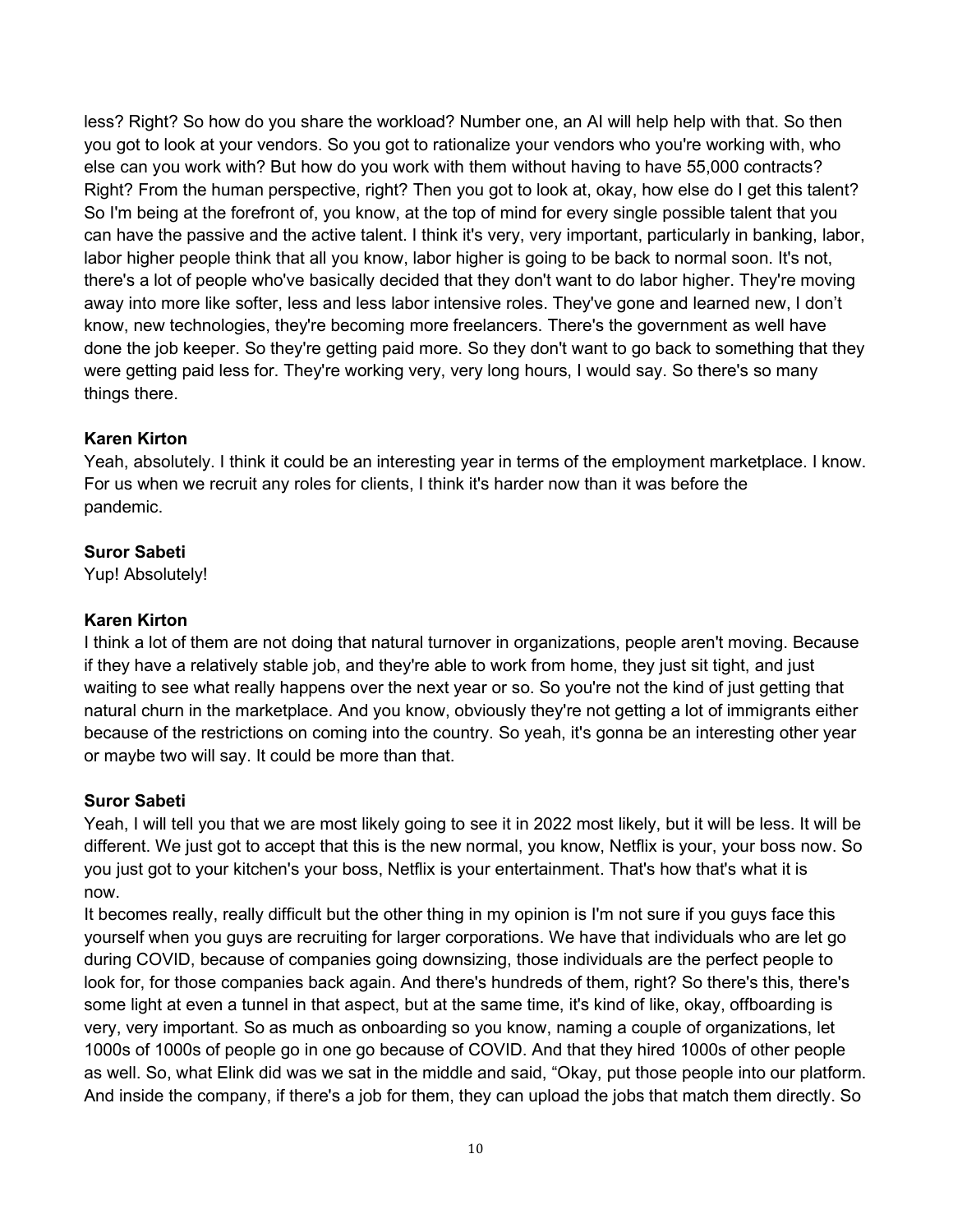less? Right? So how do you share the workload? Number one, an AI will help help with that. So then you got to look at your vendors. So you got to rationalize your vendors who you're working with, who else can you work with? But how do you work with them without having to have 55,000 contracts? Right? From the human perspective, right? Then you got to look at, okay, how else do I get this talent? So I'm being at the forefront of, you know, at the top of mind for every single possible talent that you can have the passive and the active talent. I think it's very, very important, particularly in banking, labor, labor higher people think that all you know, labor higher is going to be back to normal soon. It's not, there's a lot of people who've basically decided that they don't want to do labor higher. They're moving away into more like softer, less and less labor intensive roles. They've gone and learned new, I don't know, new technologies, they're becoming more freelancers. There's the government as well have done the job keeper. So they're getting paid more. So they don't want to go back to something that they were getting paid less for. They're working very, very long hours, I would say. So there's so many things there.

## Karen Kirton

Yeah, absolutely. I think it could be an interesting year in terms of the employment marketplace. I know. For us when we recruit any roles for clients, I think it's harder now than it was before the pandemic.

## Suror Sabeti

Yup! Absolutely!

# Karen Kirton

I think a lot of them are not doing that natural turnover in organizations, people aren't moving. Because if they have a relatively stable job, and they're able to work from home, they just sit tight, and just waiting to see what really happens over the next year or so. So you're not the kind of just getting that natural churn in the marketplace. And you know, obviously they're not getting a lot of immigrants either because of the restrictions on coming into the country. So yeah, it's gonna be an interesting other year or maybe two will say. It could be more than that.

## Suror Sabeti

Yeah, I will tell you that we are most likely going to see it in 2022 most likely, but it will be less. It will be different. We just got to accept that this is the new normal, you know, Netflix is your, your boss now. So you just got to your kitchen's your boss, Netflix is your entertainment. That's how that's what it is now.

It becomes really, really difficult but the other thing in my opinion is I'm not sure if you guys face this yourself when you guys are recruiting for larger corporations. We have that individuals who are let go during COVID, because of companies going downsizing, those individuals are the perfect people to look for, for those companies back again. And there's hundreds of them, right? So there's this, there's some light at even a tunnel in that aspect, but at the same time, it's kind of like, okay, offboarding is very, very important. So as much as onboarding so you know, naming a couple of organizations, let 1000s of 1000s of people go in one go because of COVID. And that they hired 1000s of other people as well. So, what Elink did was we sat in the middle and said, "Okay, put those people into our platform. And inside the company, if there's a job for them, they can upload the jobs that match them directly. So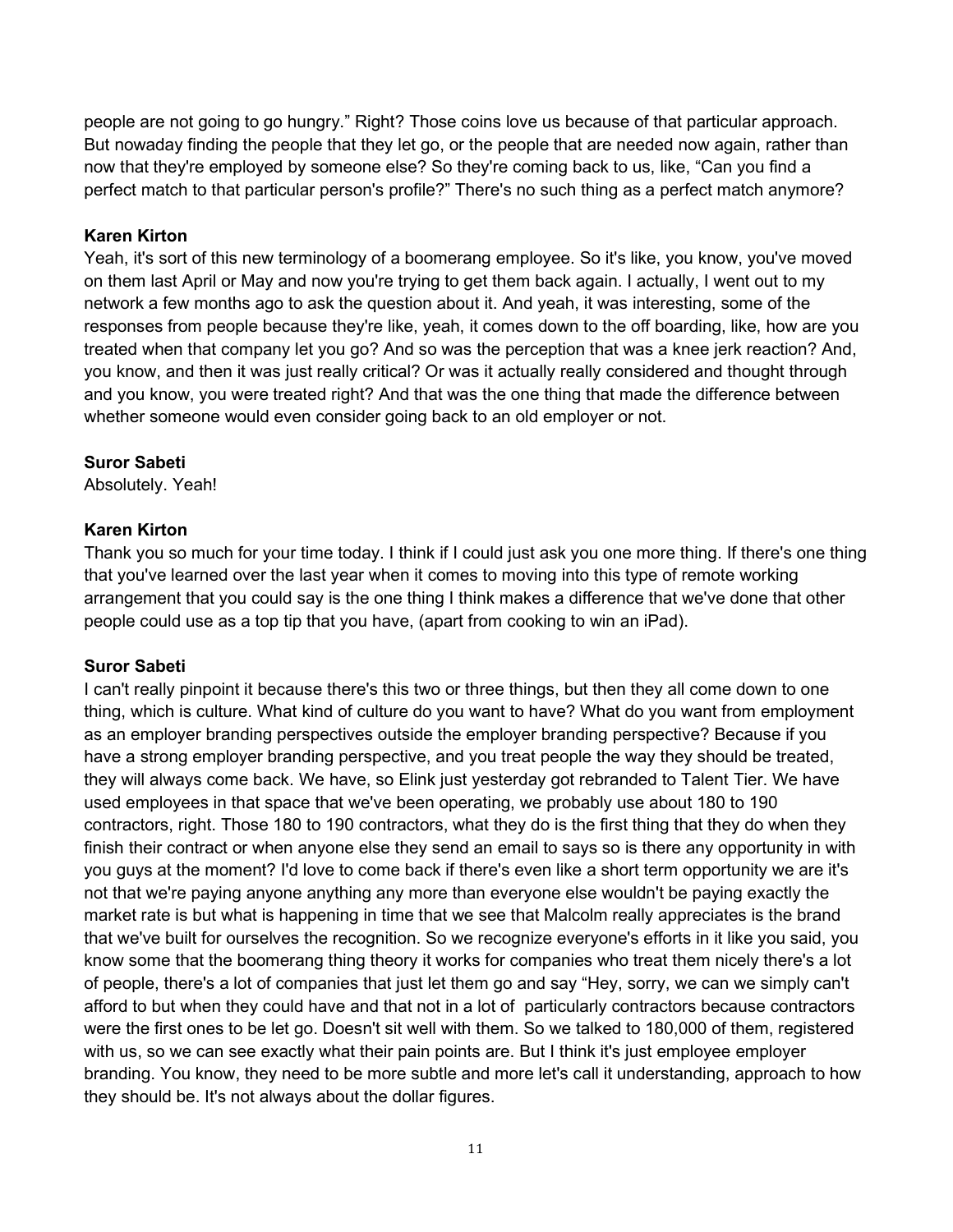people are not going to go hungry." Right? Those coins love us because of that particular approach. But nowaday finding the people that they let go, or the people that are needed now again, rather than now that they're employed by someone else? So they're coming back to us, like, "Can you find a perfect match to that particular person's profile?" There's no such thing as a perfect match anymore?

## Karen Kirton

Yeah, it's sort of this new terminology of a boomerang employee. So it's like, you know, you've moved on them last April or May and now you're trying to get them back again. I actually, I went out to my network a few months ago to ask the question about it. And yeah, it was interesting, some of the responses from people because they're like, yeah, it comes down to the off boarding, like, how are you treated when that company let you go? And so was the perception that was a knee jerk reaction? And, you know, and then it was just really critical? Or was it actually really considered and thought through and you know, you were treated right? And that was the one thing that made the difference between whether someone would even consider going back to an old employer or not.

## Suror Sabeti

Absolutely. Yeah!

## Karen Kirton

Thank you so much for your time today. I think if I could just ask you one more thing. If there's one thing that you've learned over the last year when it comes to moving into this type of remote working arrangement that you could say is the one thing I think makes a difference that we've done that other people could use as a top tip that you have, (apart from cooking to win an iPad).

## Suror Sabeti

I can't really pinpoint it because there's this two or three things, but then they all come down to one thing, which is culture. What kind of culture do you want to have? What do you want from employment as an employer branding perspectives outside the employer branding perspective? Because if you have a strong employer branding perspective, and you treat people the way they should be treated, they will always come back. We have, so Elink just yesterday got rebranded to Talent Tier. We have used employees in that space that we've been operating, we probably use about 180 to 190 contractors, right. Those 180 to 190 contractors, what they do is the first thing that they do when they finish their contract or when anyone else they send an email to says so is there any opportunity in with you guys at the moment? I'd love to come back if there's even like a short term opportunity we are it's not that we're paying anyone anything any more than everyone else wouldn't be paying exactly the market rate is but what is happening in time that we see that Malcolm really appreciates is the brand that we've built for ourselves the recognition. So we recognize everyone's efforts in it like you said, you know some that the boomerang thing theory it works for companies who treat them nicely there's a lot of people, there's a lot of companies that just let them go and say "Hey, sorry, we can we simply can't afford to but when they could have and that not in a lot of particularly contractors because contractors were the first ones to be let go. Doesn't sit well with them. So we talked to 180,000 of them, registered with us, so we can see exactly what their pain points are. But I think it's just employee employer branding. You know, they need to be more subtle and more let's call it understanding, approach to how they should be. It's not always about the dollar figures.